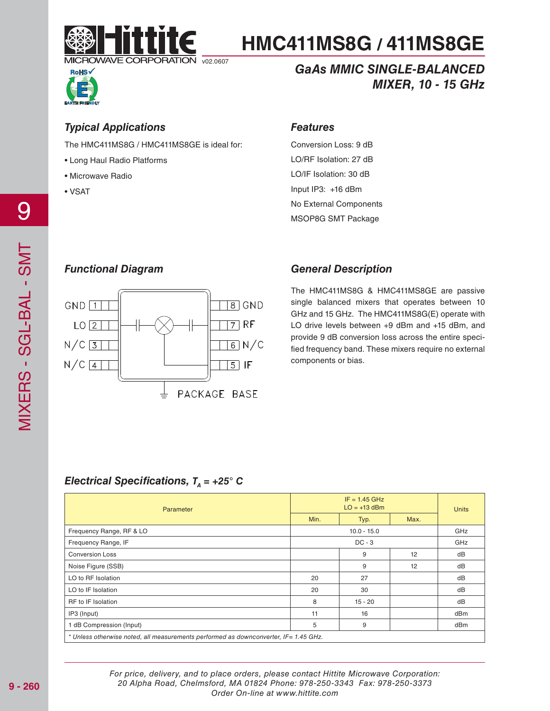



### *GaAs MMIC SINGLE-BALANCED MIXER, 10 - 15 GHz*

### *Typical Applications*

The HMC411MS8G / HMC411MS8GE is ideal for:

- Long Haul Radio Platforms
- Microwave Radio
- VSAT

### *Features*

Conversion Loss: 9 dB LO/RF Isolation: 27 dB LO/IF Isolation: 30 dB Input IP3: +16 dBm No External Components MSOP8G SMT Package

### *Functional Diagram*



### *General Description*

The HMC411MS8G & HMC411MS8GE are passive single balanced mixers that operates between 10 GHz and 15 GHz. The HMC411MS8G(E) operate with LO drive levels between +9 dBm and +15 dBm, and provide 9 dB conversion loss across the entire specified frequency band. These mixers require no external components or bias.

### *Electrical Specifications,*  $T<sub>A</sub> = +25^\circ$  *C*

| Parameter                                                                            | $IF = 1.45 GHz$<br>$LO = +13$ dBm |      |      | <b>Units</b> |
|--------------------------------------------------------------------------------------|-----------------------------------|------|------|--------------|
|                                                                                      | Min.                              | Typ. | Max. |              |
| Frequency Range, RF & LO                                                             | $10.0 - 15.0$                     |      |      | GHz          |
| Frequency Range, IF                                                                  | $DC - 3$                          |      |      | GHz          |
| <b>Conversion Loss</b>                                                               |                                   | 9    | 12   | dB           |
| Noise Figure (SSB)                                                                   |                                   | 9    | 12   | dB           |
| LO to RF Isolation                                                                   | 20                                | 27   |      | dB           |
| LO to IF Isolation                                                                   | 20                                | 30   |      | dB           |
| RF to IF Isolation                                                                   | 8<br>$15 - 20$                    |      | dB   |              |
| IP3 (Input)                                                                          | 11                                | 16   |      | dBm          |
| 1 dB Compression (Input)                                                             | 5                                 | 9    |      | dBm          |
| * Unless otherwise noted, all measurements performed as downconverter, IF= 1.45 GHz. |                                   |      |      |              |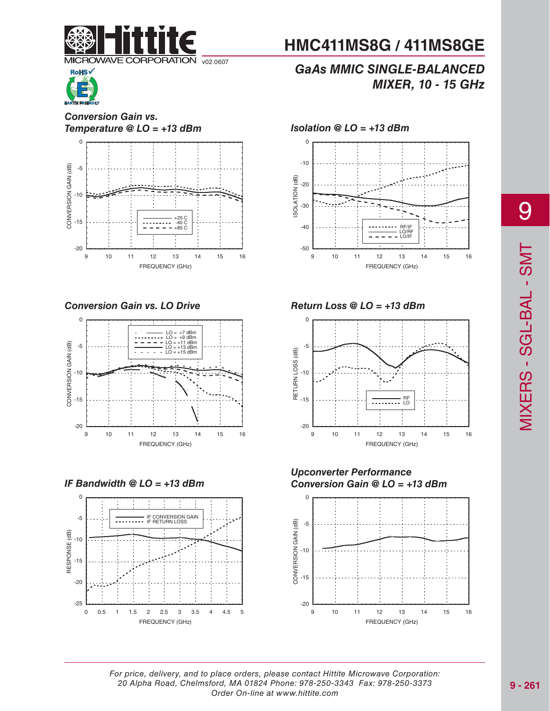



#### *Conversion Gain vs. Temperature @ LO = +13 dBm Isolation @ LO = +13 dBm*



*Conversion Gain vs. LO Drive Return Loss @ LO = +13 dBm*



*IF Bandwidth @ LO = +13 dBm*



# **HMC411MS8G / 411MS8GE**

### *GaAs MMIC SINGLE-BALANCED MIXER, 10 - 15 GHz*





#### *Upconverter Performance Conversion Gain @ LO = +13 dBm*

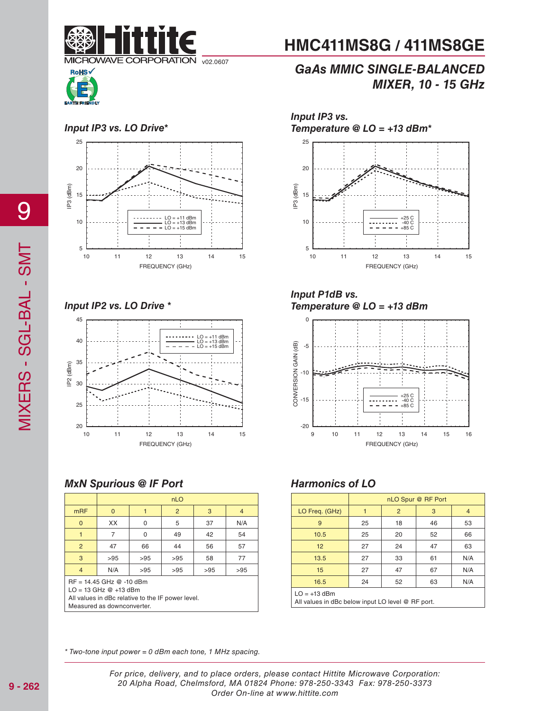



### *GaAs MMIC SINGLE-BALANCED MIXER, 10 - 15 GHz*



*Input IP2 vs. LO Drive \**



### *MxN Spurious @ IF Port*

|                                                                                                                                           | nLO      |          |     |     |                |
|-------------------------------------------------------------------------------------------------------------------------------------------|----------|----------|-----|-----|----------------|
| <b>mRF</b>                                                                                                                                | $\Omega$ |          | 2   | 3   | $\overline{4}$ |
| $\mathbf 0$                                                                                                                               | XX       | $\Omega$ | 5   | 37  | N/A            |
| 1                                                                                                                                         | 7        | $\Omega$ | 49  | 42  | 54             |
| 2                                                                                                                                         | 47       | 66       | 44  | 56  | 57             |
| 3                                                                                                                                         | >95      | >95      | >95 | 58  | 77             |
| $\overline{4}$                                                                                                                            | N/A      | >95      | >95 | >95 | >95            |
| RF = 14.45 GHz @ -10 dBm<br>$LO = 13$ GHz $@ + 13$ dBm<br>All values in dBc relative to the IF power level.<br>Measured as downconverter. |          |          |     |     |                |

*Input IP3 vs. Temperature @ LO = +13 dBm\**



*Input P1dB vs. Temperature @ LO = +13 dBm*



### *Harmonics of LO*

|                                                                     | nLO Spur @ RF Port |    |    |     |
|---------------------------------------------------------------------|--------------------|----|----|-----|
| LO Freq. (GHz)                                                      |                    | 2  | 3  | 4   |
| 9                                                                   | 25                 | 18 | 46 | 53  |
| 10.5                                                                | 25                 | 20 | 52 | 66  |
| 12                                                                  | 27                 | 24 | 47 | 63  |
| 13.5                                                                | 27                 | 33 | 61 | N/A |
| 15                                                                  | 27                 | 47 | 67 | N/A |
| 16.5                                                                | 24                 | 52 | 63 | N/A |
| $LO = +13$ dBm<br>All values in dBc below input LO level @ RF port. |                    |    |    |     |

\* Two-tone input power = 0 dBm each tone, 1 MHz spacing.

9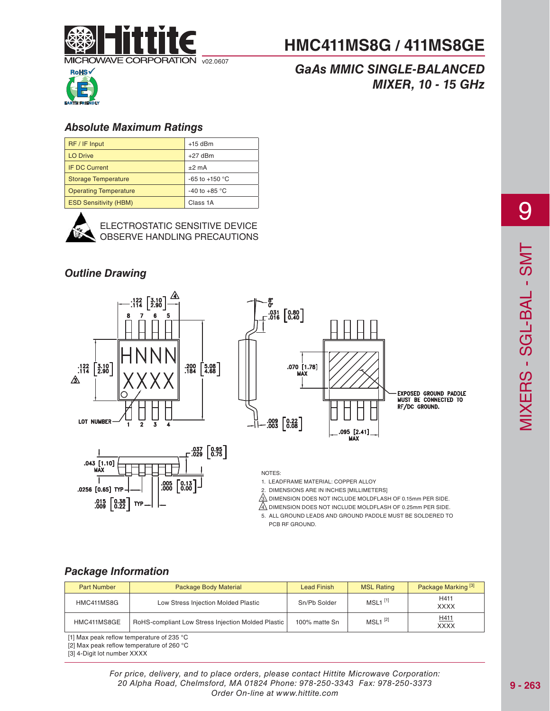

### *GaAs MMIC SINGLE-BALANCED MIXER, 10 - 15 GHz*



### *Absolute Maximum Ratings*

| RF / IF Input                | $+15$ dBm                |
|------------------------------|--------------------------|
| <b>LO Drive</b>              | $+27$ dBm                |
| IF DC Current                | $±2$ mA                  |
| <b>Storage Temperature</b>   | -65 to +150 $^{\circ}$ C |
| <b>Operating Temperature</b> | -40 to +85 $^{\circ}$ C  |
| <b>ESD Sensitivity (HBM)</b> | Class 1A                 |



ELECTROSTATIC SENSITIVE DEVICE OBSERVE HANDLING PRECAUTIONS

### *Outline Drawing*







#### NOTES:

ុខ<br>೧

1. LEADFRAME MATERIAL: COPPER ALLOY

2. DIMENSIONS ARE IN INCHES [MILLIMETERS]

 $\hat{\textbf{3}}$  dimension does not include moldflash of 0.15mm PER SIDE.

 $\sqrt{4}$ , DIMENSION DOES NOT INCLUDE MOLDFLASH OF 0.25mm PER SIDE.

5. ALL GROUND LEADS AND GROUND PADDLE MUST BE SOLDERED TO PCB RF GROUND.

### *Package Information*

| <b>Part Number</b> | Package Body Material                              | Lead Finish   | <b>MSL Rating</b>     | Package Marking <sup>[3]</sup> |
|--------------------|----------------------------------------------------|---------------|-----------------------|--------------------------------|
| HMC411MS8G         | Low Stress Injection Molded Plastic                | Sn/Pb Solder  | $MSL1$ <sup>[1]</sup> | H411<br><b>XXXX</b>            |
| HMC411MS8GE        | RoHS-compliant Low Stress Injection Molded Plastic | 100% matte Sn | $MSL1^{[2]}$          | H411<br><b>XXXX</b>            |

[1] Max peak reflow temperature of 235 °C

[2] Max peak reflow temperature of 260 °C

[3] 4-Digit lot number XXXX

For price, delivery, and to place orders, please contact Hittite Microwave Corporation: 20 Alpha Road, Chelmsford, MA 01824 Phone: 978-250-3343 Fax: 978-250-3373 Order On-line at www.hittite.com

9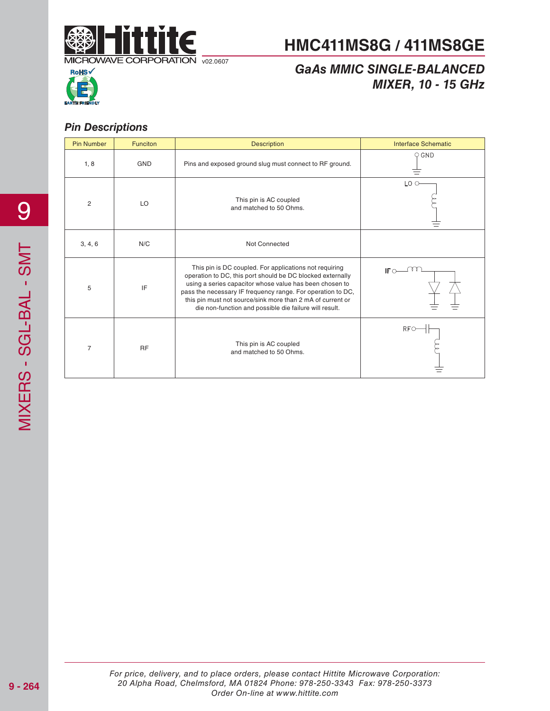

# **RoHS**

### *GaAs MMIC SINGLE-BALANCED MIXER, 10 - 15 GHz*

### *Pin Descriptions*

| <b>Pin Number</b> | <b>Funciton</b> | <b>Description</b>                                                                                                                                                                                                                                                                                                                                                     | <b>Interface Schematic</b> |
|-------------------|-----------------|------------------------------------------------------------------------------------------------------------------------------------------------------------------------------------------------------------------------------------------------------------------------------------------------------------------------------------------------------------------------|----------------------------|
| 1, 8              | <b>GND</b>      | Pins and exposed ground slug must connect to RF ground.                                                                                                                                                                                                                                                                                                                | $\circ$ GND                |
| $\overline{2}$    | LO              | This pin is AC coupled<br>and matched to 50 Ohms.                                                                                                                                                                                                                                                                                                                      | $LO$ $\circ$               |
| 3, 4, 6           | N/C             | Not Connected                                                                                                                                                                                                                                                                                                                                                          |                            |
| 5                 | IF              | This pin is DC coupled. For applications not requiring<br>operation to DC, this port should be DC blocked externally<br>using a series capacitor whose value has been chosen to<br>pass the necessary IF frequency range. For operation to DC,<br>this pin must not source/sink more than 2 mA of current or<br>die non-function and possible die failure will result. | IF $\sim$                  |
| $\overline{7}$    | <b>RF</b>       | This pin is AC coupled<br>and matched to 50 Ohms.                                                                                                                                                                                                                                                                                                                      | RFC                        |